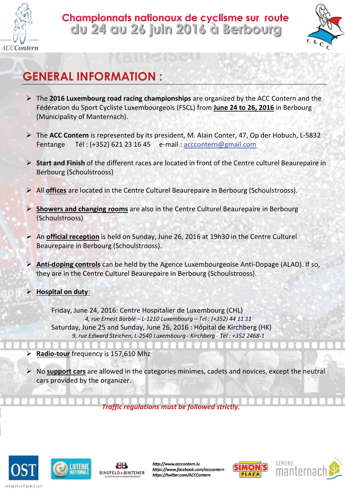

## Championnats nationaux de cyclisme sur route du 24 au 26 juin 2016 à Berbourg



## GENERAL INFORMATION :

- $\triangleright$  The 2016 Luxembourg road racing championships are organized by the ACC Contern and the Fédération du Sport Cycliste Luxembourgeois (FSCL) from June 24 to 26, 2016 in Berbourg (Municipality of Manternach).
- $\triangleright$  The ACC Contern is represented by its president, M. Alain Conter, 47, Op der Hobuch, L-5832 Fentange Tél : (+352) 621 23 16 45 e-mail : acccontern@gmail.com
- ▶ Start and Finish of the different races are located in front of the Centre culturel Beaurepaire in Berbourg (Schoulstrooss)
- $\triangleright$  All offices are located in the Centre Culturel Beaurepaire in Berbourg (Schoulstrooss).
- ▶ Showers and changing rooms are also in the Centre Culturel Beaurepaire in Berbourg (Schoulstrooss)
- $\triangleright$  An official reception is held on Sunday, June 26, 2016 at 19h30 in the Centre Culturel Beaurepaire in Berbourg (Schoulstrooss).
- > Anti-doping controls can be held by the Agence Luxembourgeoise Anti-Dopage (ALAD). If so, they are in the Centre Culturel Beaurepaire in Berbourg (Schoulstrooss).
- $\triangleright$  Hospital on duty:

Friday, June 24, 2016: Centre Hospitalier de Luxembourg (CHL) 4, rue Ernest Barblé – L-1210 Luxembourg – Tel : (+352) 44 11 11 Saturday, June 25 and Sunday, June 26, 2016 : Hôpital de Kirchberg (HK) 9, rue Edward Steichen, L-2540 Luxembourg - Kirchberg - Tél : +352 2468-1

- $\triangleright$  Radio-tour frequency is 157,610 Mhz
- $\triangleright$  No support cars are allowed in the categories minimes, cadets and novices, except the neutral cars provided by the organizer.

Traffic regulations must be followed strictly.







http://www.acccontern.lu https://www.facebook.com/acccontern https://twitter.com/ACCContern



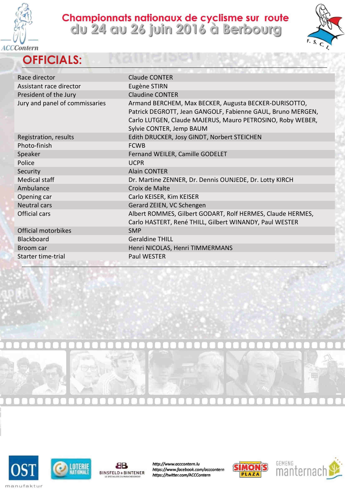

**OFFICIALS:** 

## Championnats nationaux de cyclisme sur route<br>clu 24 au 26 juin 2016 à Berbourg



| Race director                  | <b>Claude CONTER</b>                                                                                                                                                                                           |
|--------------------------------|----------------------------------------------------------------------------------------------------------------------------------------------------------------------------------------------------------------|
| Assistant race director        | Eugène STIRN                                                                                                                                                                                                   |
| President of the Jury          | <b>Claudine CONTER</b>                                                                                                                                                                                         |
| Jury and panel of commissaries | Armand BERCHEM, Max BECKER, Augusta BECKER-DURISOTTO,<br>Patrick DEGROTT, Jean GANGOLF, Fabienne GAUL, Bruno MERGEN,<br>Carlo LUTGEN, Claude MAJERUS, Mauro PETROSINO, Roby WEBER,<br>Sylvie CONTER, Jemp BAUM |
| Registration, results          | Edith DRUCKER, Josy GINDT, Norbert STEICHEN                                                                                                                                                                    |
| Photo-finish                   | <b>FCWB</b>                                                                                                                                                                                                    |
| Speaker                        | Fernand WEILER, Camille GODELET                                                                                                                                                                                |
| Police                         | <b>UCPR</b>                                                                                                                                                                                                    |
| Security                       | <b>Alain CONTER</b>                                                                                                                                                                                            |
| Medical staff                  | Dr. Martine ZENNER, Dr. Dennis OUNJEDE, Dr. Lotty KIRCH                                                                                                                                                        |
| Ambulance                      | Croix de Malte                                                                                                                                                                                                 |
| Opening car                    | Carlo KEISER, Kim KEISER                                                                                                                                                                                       |
| <b>Neutral cars</b>            | Gerard ZEIEN, VC Schengen                                                                                                                                                                                      |
| Official cars                  | Albert ROMMES, Gilbert GODART, Rolf HERMES, Claude HERMES,<br>Carlo HASTERT, René THILL, Gilbert WINANDY, Paul WESTER                                                                                          |
| Official motorbikes            | <b>SMP</b>                                                                                                                                                                                                     |
| Blackboard                     | <b>Geraldine THILL</b>                                                                                                                                                                                         |
| Broom car                      | Henri NICOLAS, Henri TIMMERMANS                                                                                                                                                                                |
| Starter time-trial             | <b>Paul WESTER</b>                                                                                                                                                                                             |
|                                |                                                                                                                                                                                                                |









http://www.acccontern.lu https://www.facebook.com/acccontern https://twitter.com/ACCContern